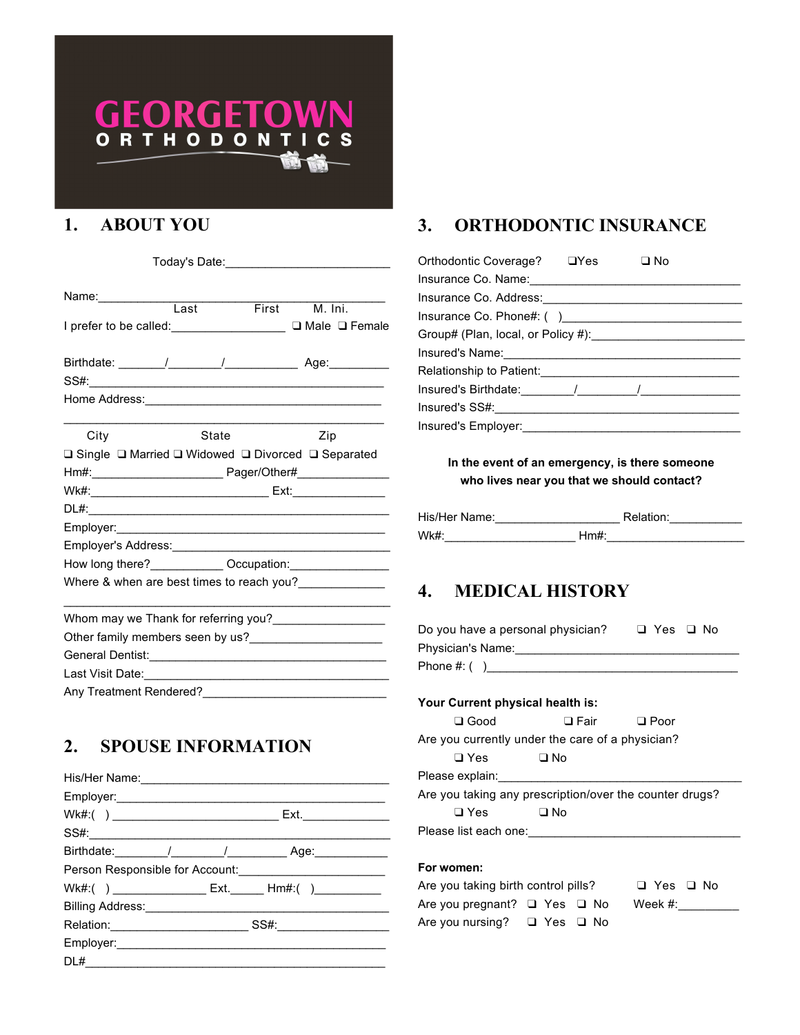# GEORGETO ORTHODONTI S

## **1. ABOUT YOU**

Place Logo Here

| Name: Last                                                                                                                                                                                                                    |       | First M. Ini. |
|-------------------------------------------------------------------------------------------------------------------------------------------------------------------------------------------------------------------------------|-------|---------------|
| I prefer to be called: ___________________ □ Male □ Female                                                                                                                                                                    |       |               |
|                                                                                                                                                                                                                               |       |               |
|                                                                                                                                                                                                                               |       |               |
|                                                                                                                                                                                                                               |       |               |
|                                                                                                                                                                                                                               |       |               |
| City                                                                                                                                                                                                                          | State | Zip           |
| □ Single □ Married □ Widowed □ Divorced □ Separated                                                                                                                                                                           |       |               |
|                                                                                                                                                                                                                               |       |               |
|                                                                                                                                                                                                                               |       |               |
|                                                                                                                                                                                                                               |       |               |
|                                                                                                                                                                                                                               |       |               |
|                                                                                                                                                                                                                               |       |               |
|                                                                                                                                                                                                                               |       |               |
| Where & when are best times to reach you?                                                                                                                                                                                     |       |               |
| Whom may we Thank for referring you?___________________                                                                                                                                                                       |       |               |
|                                                                                                                                                                                                                               |       |               |
|                                                                                                                                                                                                                               |       |               |
| Last Visit Date: the contract of the contract of the contract of the contract of the contract of the contract of the contract of the contract of the contract of the contract of the contract of the contract of the contract |       |               |
| Any Treatment Rendered?                                                                                                                                                                                                       |       |               |

### **2. SPOUSE INFORMATION**

| SS#: New York SS And Service SS And Service SS And Service Service Service Service Service Service S |  |
|------------------------------------------------------------------------------------------------------|--|
|                                                                                                      |  |
|                                                                                                      |  |
|                                                                                                      |  |
|                                                                                                      |  |
|                                                                                                      |  |
| Employer: <u>Contract Communication</u>                                                              |  |
|                                                                                                      |  |

### **3. ORTHODONTIC INSURANCE**

| Orthodontic Coverage? □ Yes                                                                                  | $\square$ No |  |
|--------------------------------------------------------------------------------------------------------------|--------------|--|
| Insurance Co. Name: 1997 Manual Manual Manual Manual Manual Manual Manual Manual Manual Manual Manual Manual |              |  |
|                                                                                                              |              |  |
|                                                                                                              |              |  |
|                                                                                                              |              |  |
|                                                                                                              |              |  |
|                                                                                                              |              |  |
|                                                                                                              |              |  |
| Insured's SS#: __________________                                                                            |              |  |
| Insured's Employer:                                                                                          |              |  |

**In the event of an emergency, is there someone who lives near you that we should contact?**

| His/Her Name: |     | Relation: |
|---------------|-----|-----------|
| Wk#:          | Hm# |           |

### **4. MEDICAL HISTORY**

| Do you have a personal physician? | □ Yes □ No |  |
|-----------------------------------|------------|--|
| Physician's Name:                 |            |  |
| Phone #: ( )                      |            |  |

### **Your Current physical health is:**

| $\Box$ Good                                             | $\square$ Fair | $\Box$ Poor |  |  |  |
|---------------------------------------------------------|----------------|-------------|--|--|--|
| Are you currently under the care of a physician?        |                |             |  |  |  |
| $\square$ Yes                                           | □ No           |             |  |  |  |
| Please explain:                                         |                |             |  |  |  |
| Are you taking any prescription/over the counter drugs? |                |             |  |  |  |
| $\square$ Yes                                           | ו ⊑ D          |             |  |  |  |
| Please list each one:                                   |                |             |  |  |  |

#### **For women:**

Are you taking birth control pills? ❑ Yes ❑ No Are you pregnant? □ Yes □ No Week #:\_\_\_\_\_\_\_\_\_ Are you nursing? ❑ Yes ❑ No